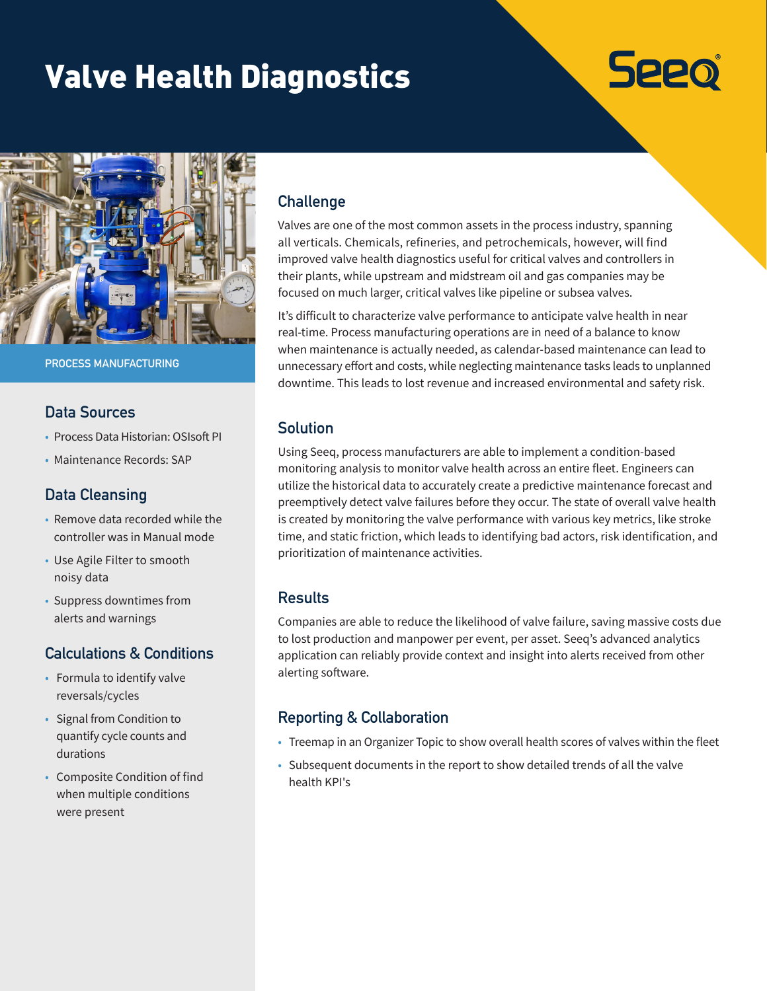# Valve Health Diagnostics



**PROCESS MANUFACTURING**

#### **Data Sources**

- Process Data Historian: OSIsoft PI
- Maintenance Records: SAP

## **Data Cleansing**

- Remove data recorded while the controller was in Manual mode
- Use Agile Filter to smooth noisy data
- Suppress downtimes from alerts and warnings

# **Calculations & Conditions**

- Formula to identify valve reversals/cycles
- Signal from Condition to quantify cycle counts and durations
- Composite Condition of find when multiple conditions were present

# **Challenge**

Valves are one of the most common assets in the process industry, spanning all verticals. Chemicals, refineries, and petrochemicals, however, will find improved valve health diagnostics useful for critical valves and controllers in their plants, while upstream and midstream oil and gas companies may be focused on much larger, critical valves like pipeline or subsea valves.

**Seeo** 

It's difficult to characterize valve performance to anticipate valve health in near real-time. Process manufacturing operations are in need of a balance to know when maintenance is actually needed, as calendar-based maintenance can lead to unnecessary effort and costs, while neglecting maintenance tasks leads to unplanned downtime. This leads to lost revenue and increased environmental and safety risk.

#### **Solution**

Using Seeq, process manufacturers are able to implement a condition-based monitoring analysis to monitor valve health across an entire fleet. Engineers can utilize the historical data to accurately create a predictive maintenance forecast and preemptively detect valve failures before they occur. The state of overall valve health is created by monitoring the valve performance with various key metrics, like stroke time, and static friction, which leads to identifying bad actors, risk identification, and prioritization of maintenance activities.

## **Results**

Companies are able to reduce the likelihood of valve failure, saving massive costs due to lost production and manpower per event, per asset. Seeq's advanced analytics application can reliably provide context and insight into alerts received from other alerting software.

## **Reporting & Collaboration**

- Treemap in an Organizer Topic to show overall health scores of valves within the fleet
- Subsequent documents in the report to show detailed trends of all the valve health KPI's